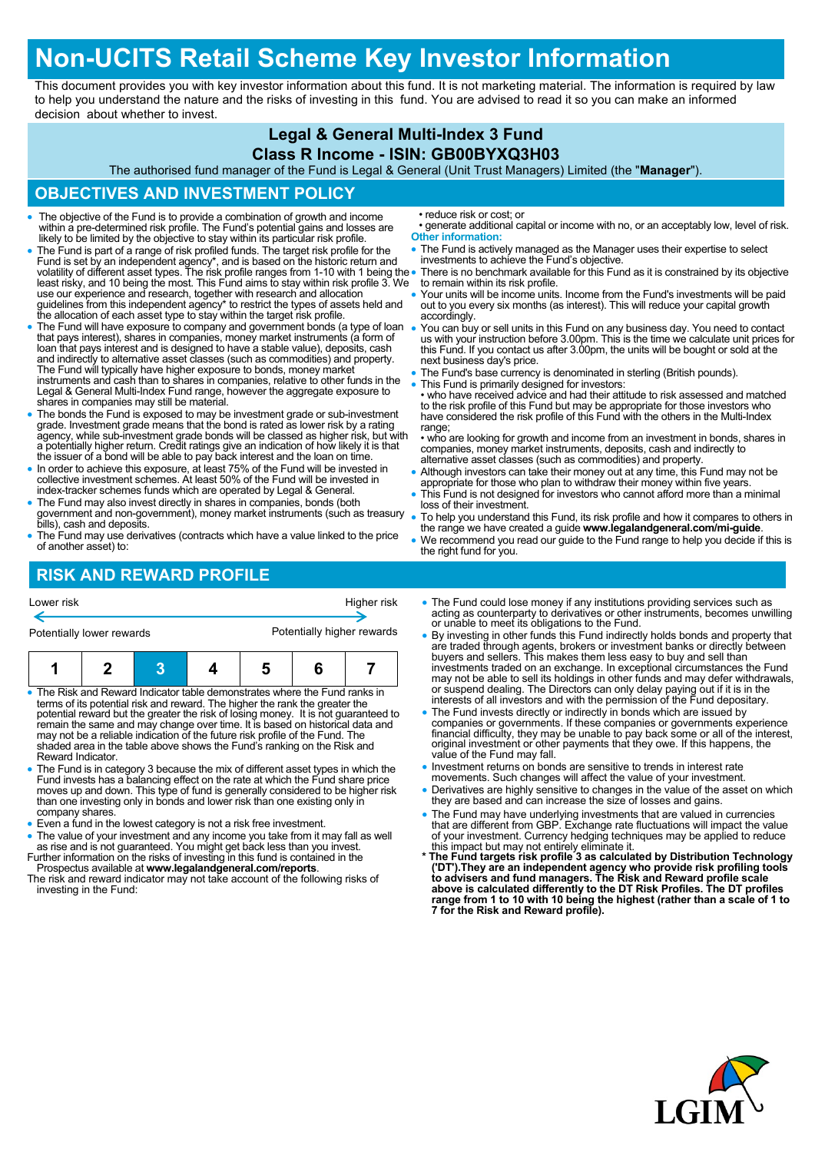# **Non-UCITS Retail Scheme Key Investor Information**

This document provides you with key investor information about this fund. It is not marketing material. The information is required by law to help you understand the nature and the risks of investing in this fund. You are advised to read it so you can make an informed decision about whether to invest.

### **Legal & General Multi-Index 3 Fund**

#### **Class R Income - ISIN: GB00BYXQ3H03**

The authorised fund manager of the Fund is Legal & General (Unit Trust Managers) Limited (the "**Manager**").

## **OBJECTIVES AND INVESTMENT POLICY**

- The objective of the Fund is to provide a combination of growth and income within a pre-determined risk profile. The Fund's potential gains and losses are likely to be limited by the objective to stay within its particular risk profile.
- The Fund is part of a range of risk profiled funds. The target risk profile for the Fund is set by an independent agency\*, and is based on the historic return and<br>volatility of different asset types. The risk profile ranges from 1-10 with 1 being the<br>least risky, and 10 being the most. This Fund aims to s use our experience and research, together with research and allocation guidelines from this independent agency\* to restrict the types of assets held and the allocation of each asset type to stay within the target risk profile.
- The Fund will have exposure to company and government bonds (a type of loan that pays interest), shares in companies, money market instruments (a form of loan that pays interest and is designed to have a stable value), deposits, cash and indirectly to alternative asset classes (such as commodities) and property.<br>The Fund will typically have higher exposure to bonds, money market<br>instruments and cash than to shares in companies, relative to other funds Legal & General Multi-Index Fund range, however the aggregate exposure to shares in companies may still be material.
- The bonds the Fund is exposed to may be investment grade or sub-investment grade. Investment grade means that the bond is rated as lower risk by a rating agency, while sub-investment grade bonds will be classed as higher risk, but with a potentially higher return. Credit ratings give an indication of how likely it is that the issuer of a bond will be able to pay back interest and the loan on time.
- In order to achieve this exposure, at least 75% of the Fund will be invested in collective investment schemes. At least 50% of the Fund will be invested in index-tracker schemes funds which are operated by Legal & General.
- The Fund may also invest directly in shares in companies, bonds (both government and non-government), money market instruments (such as treasury bills), cash and deposits.
- The Fund may use derivatives (contracts which have a value linked to the price of another asset) to:

• reduce risk or cost; or

- generate additional capital or income with no, or an acceptably low, level of risk. **Other information:**
- The Fund is actively managed as the Manager uses their expertise to select investments to achieve the Fund's objective.
- There is no benchmark available for this Fund as it is constrained by its objective to remain within its risk profile.
- Your units will be income units. Income from the Fund's investments will be paid out to you every six months (as interest). This will reduce your capital growth accordingly.
- You can buy or sell units in this Fund on any business day. You need to contact us with your instruction before 3.00pm. This is the time we calculate unit prices for this Fund. If you contact us after 3.00pm, the units will be bought or sold at the next business day's price.
- The Fund's base currency is denominated in sterling (British pounds).
- This Fund is primarily designed for investors: • who have received advice and had their attitude to risk assessed and matched to the risk profile of this Fund but may be appropriate for those investors who have considered the risk profile of this Fund with the others in the Multi-Index range;
- who are looking for growth and income from an investment in bonds, shares in companies, money market instruments, deposits, cash and indirectly to alternative asset classes (such as commodities) and property.
- Although investors can take their money out at any time, this Fund may not be appropriate for those who plan to withdraw their money within five years.
- This Fund is not designed for investors who cannot afford more than a minimal loss of their investment.
- To help you understand this Fund, its risk profile and how it compares to others in the range we have created a guide **www.legalandgeneral.com/mi-guide**.
- We recommend you read our guide to the Fund range to help you decide if this is the right fund for you.

# **RISK AND REWARD PROFILE**

| Lower risk                                                                                      | Higher risk<br>Potentially higher rewards<br>Potentially lower rewards |  |                                                                                                                                                                                                                                                                                                                        |  |   |                                                                                                                                                                     | • The Fund could lose money if any institutions providing services such as acting as counterparty to derivatives or other instruments, becomes unwilling<br>or unable to meet its obligations to the Fund.<br>• By investing in other funds this Fund indirectly holds bonds and property that<br>are traded through agents, brokers or investment banks or directly between                                                                                                                                   |
|-------------------------------------------------------------------------------------------------|------------------------------------------------------------------------|--|------------------------------------------------------------------------------------------------------------------------------------------------------------------------------------------------------------------------------------------------------------------------------------------------------------------------|--|---|---------------------------------------------------------------------------------------------------------------------------------------------------------------------|----------------------------------------------------------------------------------------------------------------------------------------------------------------------------------------------------------------------------------------------------------------------------------------------------------------------------------------------------------------------------------------------------------------------------------------------------------------------------------------------------------------|
|                                                                                                 |                                                                        |  |                                                                                                                                                                                                                                                                                                                        |  | 6 |                                                                                                                                                                     | buyers and sellers. This makes them less easy to buy and sell than<br>investments traded on an exchange. In exceptional circumstances the Fund<br>may not be able to sell its holdings in other funds and may defer withdrawals,                                                                                                                                                                                                                                                                               |
| • The Risk and Reward Indicator table demonstrates where the Fund ranks in<br>Reward Indicator. |                                                                        |  | terms of its potential risk and reward. The higher the rank the greater the<br>remain the same and may change over time. It is based on historical data and<br>may not be a reliable indication of the future risk profile of the Fund. The<br>shaded area in the table above shows the Fund's ranking on the Risk and |  |   | potential reward but the greater the risk of losing money. It is not quaranteed to                                                                                  | or suspend dealing. The Directors can only delay paying out if it is in the<br>interests of all investors and with the permission of the Fund depositary.<br>• The Fund invests directly or indirectly in bonds which are issued by<br>companies or governments. If these companies or governments experience<br>financial difficulty, they may be unable to pay back some or all of the interest,<br>original investment or other payments that they owe. If this happens, the<br>value of the Fund may fall. |
|                                                                                                 |                                                                        |  | Fund invests has a balancing effect on the rate at which the Fund share price<br>than one investing only in bonds and lower risk than one existing only in                                                                                                                                                             |  |   | • The Fund is in category 3 because the mix of different asset types in which the<br>moves up and down. This type of fund is generally considered to be higher risk | • Investment returns on bonds are sensitive to trends in interest rate<br>movements. Such changes will affect the value of your investment.<br>• Derivatives are highly sensitive to changes in the value of the asset on which<br>they are based and can increase the size of losses and gains.                                                                                                                                                                                                               |

- company shares.
- Even a fund in the lowest category is not a risk free investment.
- The value of your investment and any income you take from it may fall as well as rise and is not guaranteed. You might get back less than you invest. Further information on the risks of investing in this fund is contained in the
- Prospectus available at **www.legalandgeneral.com/reports**. The risk and reward indicator may not take account of the following risks of investing in the Fund:
- they are based and can increase the size of losses and gains.
- The Fund may have underlying investments that are valued in currencies that are different from GBP. Exchange rate fluctuations will impact the value of your investment. Currency hedging techniques may be applied to reduce
- this impact but may not entirely eliminate it. **\* The Fund targets risk profile 3 as calculated by Distribution Technology**  ('DT').They are an independent agency who provide risk profiling tools<br>to advisers and fund managers. The Risk and Reward profile scale<br>above is calculated differently to the DT Risk Profiles. The DT profiles **range from 1 to 10 with 10 being the highest (rather than a scale of 1 to 7 for the Risk and Reward profile).**